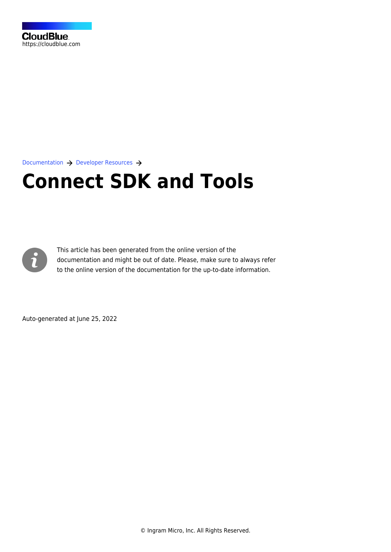

[Documentation](https://connect.cloudblue.com/documentation)  $\rightarrow$  [Developer Resources](https://connect.cloudblue.com/community/developers/)  $\rightarrow$ 

## **[Connect SDK and Tools](https://connect.cloudblue.com/community/developers/sdk/)**



This article has been generated from the online version of the documentation and might be out of date. Please, make sure to always refer to the online version of the documentation for the up-to-date information.

Auto-generated at June 25, 2022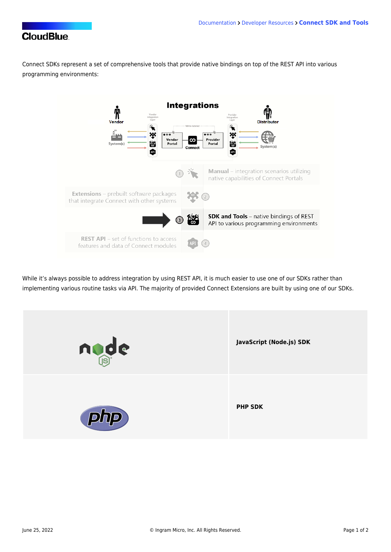## **CloudBlue**

Connect SDKs represent a set of comprehensive tools that provide native bindings on top of the REST API into various programming environments:



While it's always possible to address integration by using [REST API,](https://connect.cloudblue.com/documentation/api/) it is much easier to use one of our SDKs rather than implementing various routine tasks via API. The majority of provided Connect [Extensions](https://connect.cloudblue.com/documentation/extensions/) are built by using one of our SDKs.

| node | JavaScript (Node.js) SDK |
|------|--------------------------|
| php  | <b>PHP SDK</b>           |